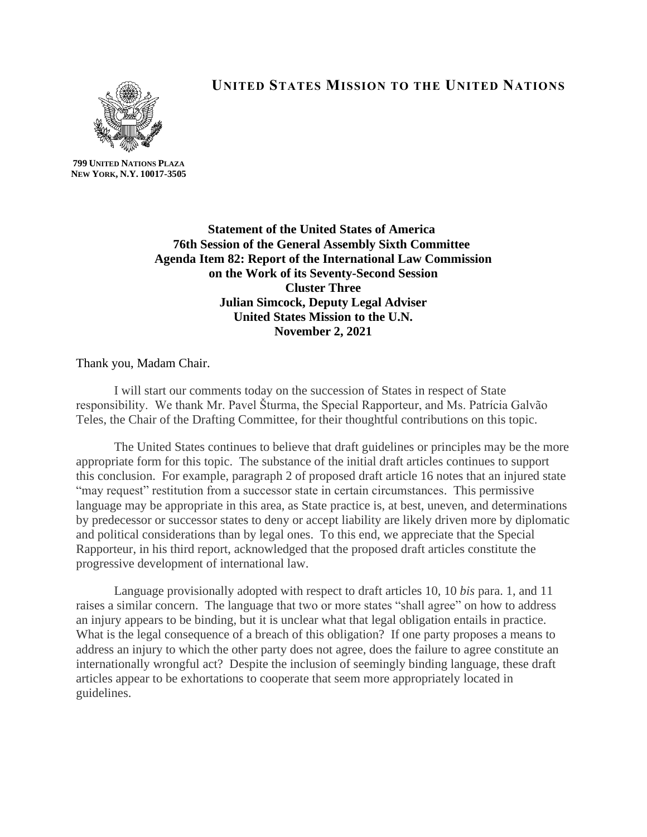

**UNITED STATES MISSION TO THE UNITED NATIONS**

**799 UNITED NATIONS PLAZA NEW YORK, N.Y. 10017-3505**

> **Statement of the United States of America 76th Session of the General Assembly Sixth Committee Agenda Item 82: Report of the International Law Commission on the Work of its Seventy-Second Session Cluster Three Julian Simcock, Deputy Legal Adviser United States Mission to the U.N. November 2, 2021**

Thank you, Madam Chair.

I will start our comments today on the succession of States in respect of State responsibility. We thank Mr. Pavel Šturma, the Special Rapporteur, and Ms. Patrícia Galvão Teles, the Chair of the Drafting Committee, for their thoughtful contributions on this topic.

The United States continues to believe that draft guidelines or principles may be the more appropriate form for this topic. The substance of the initial draft articles continues to support this conclusion. For example, paragraph 2 of proposed draft article 16 notes that an injured state "may request" restitution from a successor state in certain circumstances. This permissive language may be appropriate in this area, as State practice is, at best, uneven, and determinations by predecessor or successor states to deny or accept liability are likely driven more by diplomatic and political considerations than by legal ones. To this end, we appreciate that the Special Rapporteur, in his third report, acknowledged that the proposed draft articles constitute the progressive development of international law.

Language provisionally adopted with respect to draft articles 10, 10 *bis* para. 1, and 11 raises a similar concern. The language that two or more states "shall agree" on how to address an injury appears to be binding, but it is unclear what that legal obligation entails in practice. What is the legal consequence of a breach of this obligation? If one party proposes a means to address an injury to which the other party does not agree, does the failure to agree constitute an internationally wrongful act? Despite the inclusion of seemingly binding language, these draft articles appear to be exhortations to cooperate that seem more appropriately located in guidelines.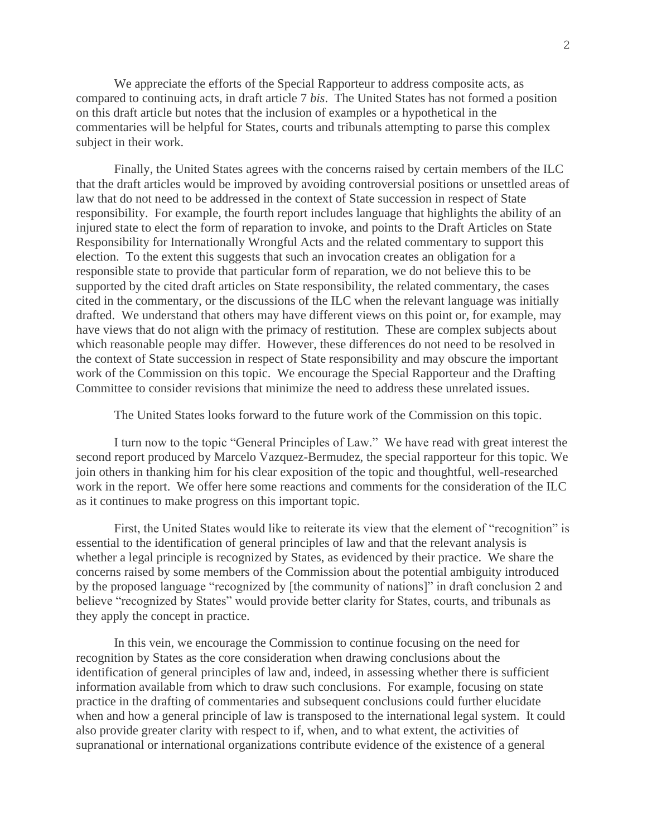We appreciate the efforts of the Special Rapporteur to address composite acts, as compared to continuing acts, in draft article 7 *bis*. The United States has not formed a position on this draft article but notes that the inclusion of examples or a hypothetical in the commentaries will be helpful for States, courts and tribunals attempting to parse this complex subject in their work.

Finally, the United States agrees with the concerns raised by certain members of the ILC that the draft articles would be improved by avoiding controversial positions or unsettled areas of law that do not need to be addressed in the context of State succession in respect of State responsibility. For example, the fourth report includes language that highlights the ability of an injured state to elect the form of reparation to invoke, and points to the Draft Articles on State Responsibility for Internationally Wrongful Acts and the related commentary to support this election. To the extent this suggests that such an invocation creates an obligation for a responsible state to provide that particular form of reparation, we do not believe this to be supported by the cited draft articles on State responsibility, the related commentary, the cases cited in the commentary, or the discussions of the ILC when the relevant language was initially drafted. We understand that others may have different views on this point or, for example, may have views that do not align with the primacy of restitution. These are complex subjects about which reasonable people may differ. However, these differences do not need to be resolved in the context of State succession in respect of State responsibility and may obscure the important work of the Commission on this topic. We encourage the Special Rapporteur and the Drafting Committee to consider revisions that minimize the need to address these unrelated issues.

The United States looks forward to the future work of the Commission on this topic.

I turn now to the topic "General Principles of Law." We have read with great interest the second report produced by Marcelo Vazquez-Bermudez, the special rapporteur for this topic. We join others in thanking him for his clear exposition of the topic and thoughtful, well-researched work in the report. We offer here some reactions and comments for the consideration of the ILC as it continues to make progress on this important topic.

First, the United States would like to reiterate its view that the element of "recognition" is essential to the identification of general principles of law and that the relevant analysis is whether a legal principle is recognized by States, as evidenced by their practice. We share the concerns raised by some members of the Commission about the potential ambiguity introduced by the proposed language "recognized by [the community of nations]" in draft conclusion 2 and believe "recognized by States" would provide better clarity for States, courts, and tribunals as they apply the concept in practice.

In this vein, we encourage the Commission to continue focusing on the need for recognition by States as the core consideration when drawing conclusions about the identification of general principles of law and, indeed, in assessing whether there is sufficient information available from which to draw such conclusions. For example, focusing on state practice in the drafting of commentaries and subsequent conclusions could further elucidate when and how a general principle of law is transposed to the international legal system. It could also provide greater clarity with respect to if, when, and to what extent, the activities of supranational or international organizations contribute evidence of the existence of a general